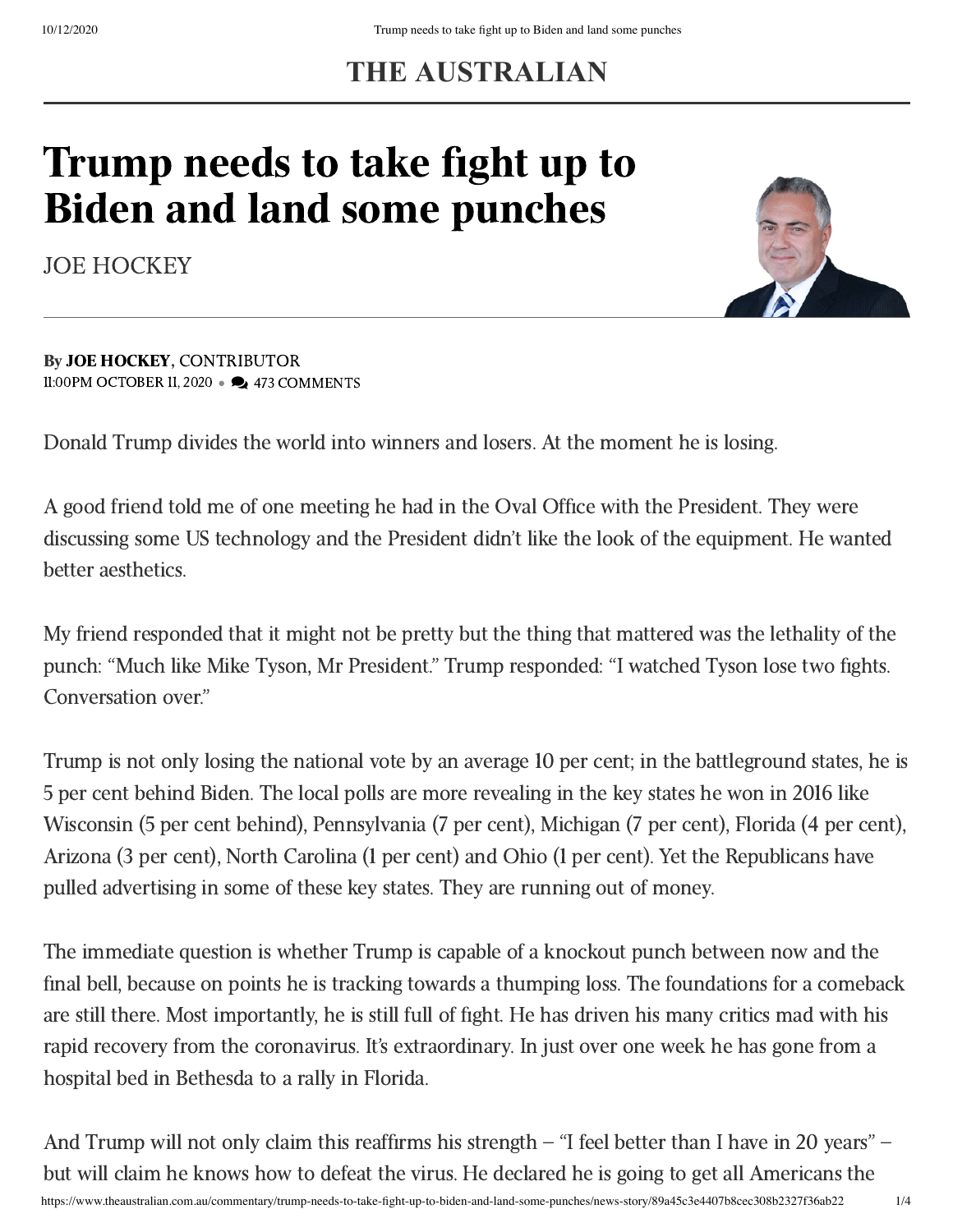## **THE AUSTRALIAN**

## Trump needs to take fight up to Biden and land some punches

[JOE HOCKEY](https://www.theaustralian.com.au/author/Joe+Hockey)



By JOE [HOCKEY,](https://www.theaustralian.com.au/author/Joe+Hockey) CONTRIBUTOR 11:00PM OCTOBER 11, 2020 • 2473 COMMENTS

Donald Trump divides the world into winners and losers. At the moment he is losing.

A good friend told me of one meeting he had in the Oval Office with the President. They were discussing some US technology and the President didn't like the look of the equipment. He wanted better aesthetics.

My friend responded that it might not be pretty but the thing that mattered was the lethality of the punch: "Much like Mike Tyson, Mr President." Trump responded: "I watched Tyson lose two fights. Conversation over."

Trump is not only losing the national vote by an average 10 per cent; in the battleground states, he is 5 per cent behind Biden. The local polls are more revealing in the key states he won in 2016 like Wisconsin (5 per cent behind), Pennsylvania (7 per cent), Michigan (7 per cent), Florida (4 per cent), Arizona (3 per cent), North Carolina (1 per cent) and Ohio (1 per cent). Yet the Republicans have pulled advertising in some of these key states. They are running out of money.

The immediate question is whether Trump is capable of a knockout punch between now and the final bell, because on points he is tracking towards a thumping loss. The foundations for a comeback are still there. Most importantly, he is still full of fight. He has driven his many critics mad with his rapid recovery from the coronavirus. It's extraordinary. In just over one week he has gone from a hospital bed in Bethesda to a rally in Florida.

https://www.theaustralian.com.au/commentary/trump-needs-to-take-fight-up-to-biden-and-land-some-punches/news-story/89a45c3e4407b8cec308b2327f36ab22 1/4 And Trump will not only claim this reaffirms his strength – "I feel better than I have in 20 years" – but will claim he knows how to defeat the virus. He declared he is going to get all Americans the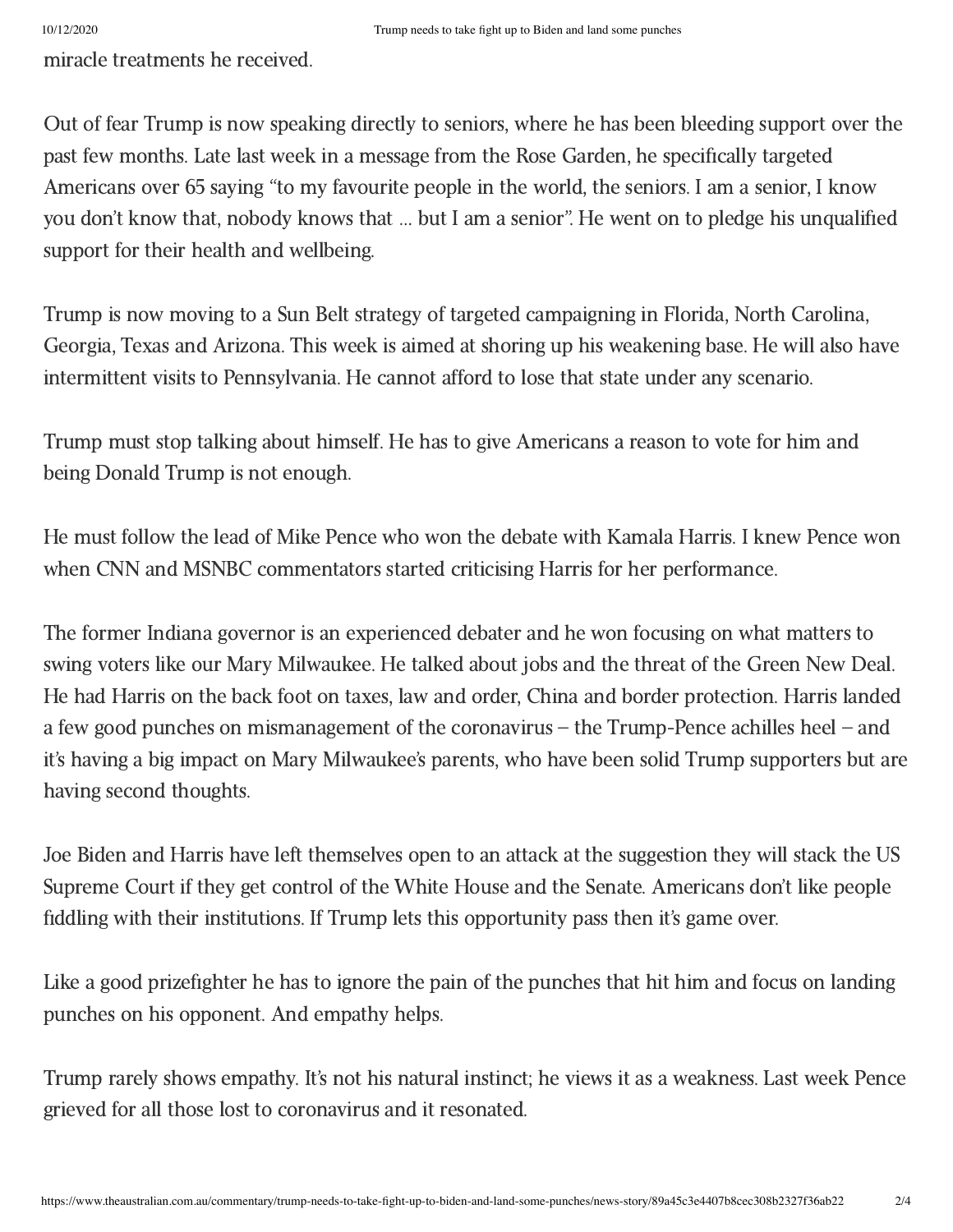miracle treatments he received.

Out of fear Trump is now speaking directly to seniors, where he has been bleeding support over the past few months. Late last week in a message from the Rose Garden, he specifically targeted Americans over 65 saying "to my favourite people in the world, the seniors. I am a senior, I know you don't know that, nobody knows that … but I am a senior". He went on to pledge his unqualified support for their health and wellbeing.

Trump is now moving to a Sun Belt strategy of targeted campaigning in Florida, North Carolina, Georgia, Texas and Arizona. This week is aimed at shoring up his weakening base. He will also have intermittent visits to Pennsylvania. He cannot afford to lose that state under any scenario.

Trump must stop talking about himself. He has to give Americans a reason to vote for him and being Donald Trump is not enough.

He must follow the lead of Mike Pence who won the debate with Kamala Harris. I knew Pence won when CNN and MSNBC commentators started criticising Harris for her performance.

The former Indiana governor is an experienced debater and he won focusing on what matters to swing voters like our Mary Milwaukee. He talked about jobs and the threat of the Green New Deal. He had Harris on the back foot on taxes, law and order, China and border protection. Harris landed a few good punches on mismanagement of the coronavirus – the Trump-Pence achilles heel – and it's having a big impact on Mary Milwaukee's parents, who have been solid Trump supporters but are having second thoughts.

Joe Biden and Harris have left themselves open to an attack at the suggestion they will stack the US Supreme Court if they get control of the White House and the Senate. Americans don't like people fiddling with their institutions. If Trump lets this opportunity pass then it's game over.

Like a good prizefighter he has to ignore the pain of the punches that hit him and focus on landing punches on his opponent. And empathy helps.

Trump rarely shows empathy. It's not his natural instinct; he views it as a weakness. Last week Pence grieved for all those lost to coronavirus and it resonated.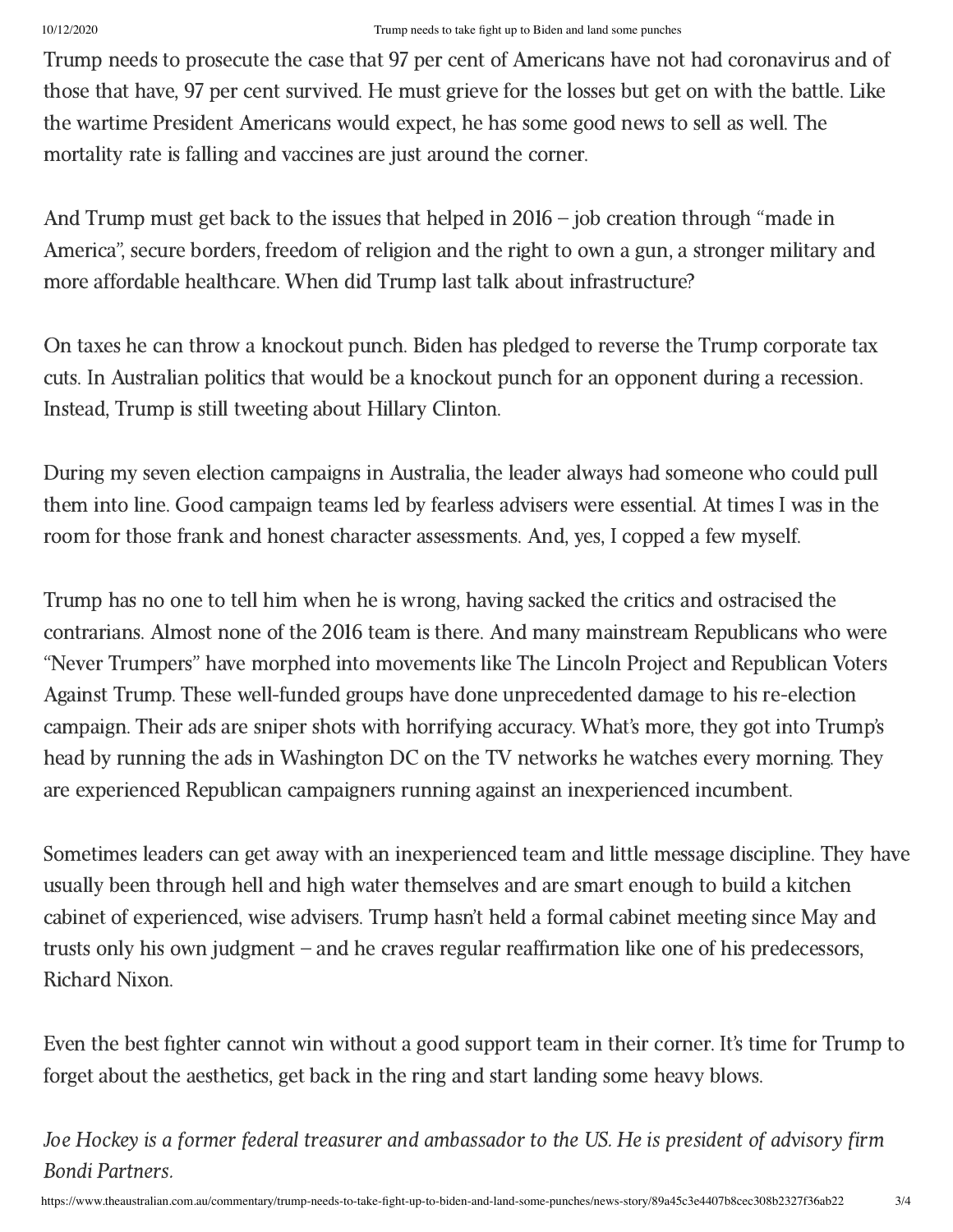## 10/12/2020 Trump needs to take fight up to Biden and land some punches

Trump needs to prosecute the case that 97 per cent of Americans have not had coronavirus and of those that have, 97 per cent survived. He must grieve for the losses but get on with the battle. Like the wartime President Americans would expect, he has some good news to sell as well. The mortality rate is falling and vaccines are just around the corner.

And Trump must get back to the issues that helped in 2016 – job creation through "made in America", secure borders, freedom of religion and the right to own a gun, a stronger military and more affordable healthcare. When did Trump last talk about infrastructure?

On taxes he can throw a knockout punch. Biden has pledged to reverse the Trump corporate tax cuts. In Australian politics that would be a knockout punch for an opponent during a recession. Instead, Trump is still tweeting about Hillary Clinton.

During my seven election campaigns in Australia, the leader always had someone who could pull them into line. Good campaign teams led by fearless advisers were essential. At times I was in the room for those frank and honest character assessments. And, yes, I copped a few myself.

Trump has no one to tell him when he is wrong, having sacked the critics and ostracised the contrarians. Almost none of the 2016 team is there. And many mainstream Republicans who were "Never Trumpers" have morphed into movements like The Lincoln Project and Republican Voters Against Trump. These well-funded groups have done unprecedented damage to his re-election campaign. Their ads are sniper shots with horrifying accuracy. What's more, they got into Trump's head by running the ads in Washington DC on the TV networks he watches every morning. They are experienced Republican campaigners running against an inexperienced incumbent.

Sometimes leaders can get away with an inexperienced team and little message discipline. They have usually been through hell and high water themselves and are smart enough to build a kitchen cabinet of experienced, wise advisers. Trump hasn't held a formal cabinet meeting since May and trusts only his own judgment – and he craves regular reaffirmation like one of his predecessors, Richard Nixon.

Even the best fighter cannot win without a good support team in their corner. It's time for Trump to forget about the aesthetics, get back in the ring and start landing some heavy blows.

Joe Hockey is a former federal treasurer and ambassador to the US. He is president of advisory firm Bondi Partners.